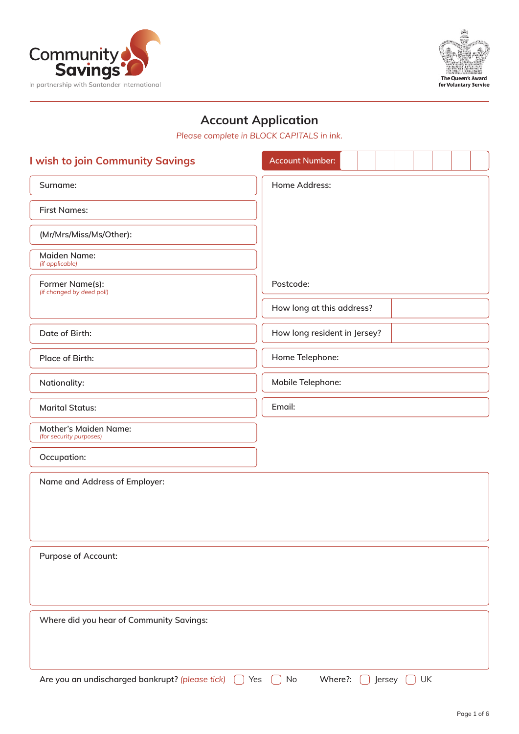



# Account Application

*Please complete in BLOCK CAPITALS in ink.*

| I wish to join Community Savings                        | <b>Account Number:</b>        |  |  |  |
|---------------------------------------------------------|-------------------------------|--|--|--|
| Surname:                                                | Home Address:                 |  |  |  |
| <b>First Names:</b>                                     |                               |  |  |  |
| (Mr/Mrs/Miss/Ms/Other):                                 |                               |  |  |  |
| <b>Maiden Name:</b><br>(if applicable)                  |                               |  |  |  |
| Former Name(s):<br>(if changed by deed poll)            | Postcode:                     |  |  |  |
|                                                         | How long at this address?     |  |  |  |
| Date of Birth:                                          | How long resident in Jersey?  |  |  |  |
| Place of Birth:                                         | Home Telephone:               |  |  |  |
| Nationality:                                            | Mobile Telephone:             |  |  |  |
| <b>Marital Status:</b>                                  | Email:                        |  |  |  |
| <b>Mother's Maiden Name:</b><br>(for security purposes) |                               |  |  |  |
| Occupation:                                             |                               |  |  |  |
| Name and Address of Employer:                           |                               |  |  |  |
|                                                         |                               |  |  |  |
|                                                         |                               |  |  |  |
| Purpose of Account:                                     |                               |  |  |  |
|                                                         |                               |  |  |  |
|                                                         |                               |  |  |  |
| Where did you hear of Community Savings:                |                               |  |  |  |
|                                                         |                               |  |  |  |
| Are you an undischarged bankrupt? (please tick)<br>Yes  | Where?:<br>UK<br>No<br>Jersey |  |  |  |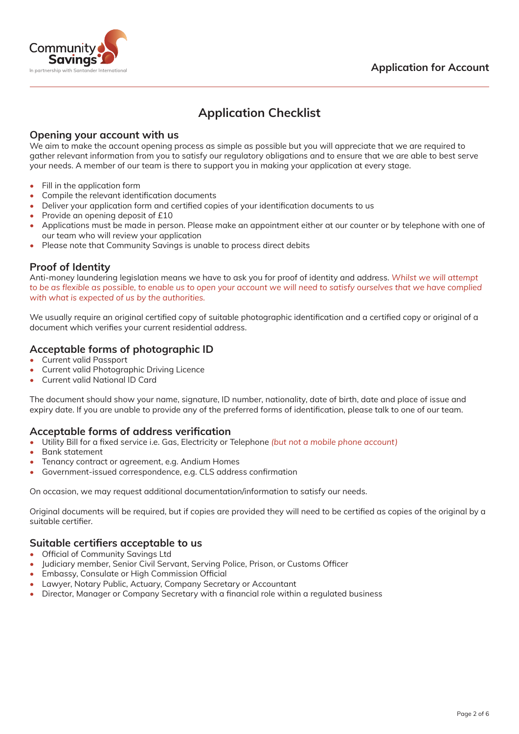

# Application Checklist

#### Opening your account with us

We aim to make the account opening process as simple as possible but you will appreciate that we are required to gather relevant information from you to satisfy our regulatory obligations and to ensure that we are able to best serve your needs. A member of our team is there to support you in making your application at every stage.

- Fill in the application form
- Compile the relevant identification documents
- Deliver your application form and certified copies of your identification documents to us
- Provide an opening deposit of £10
- Applications must be made in person. Please make an appointment either at our counter or by telephone with one of our team who will review your application
- Please note that Community Savings is unable to process direct debits

#### Proof of Identity

Anti-money laundering legislation means we have to ask you for proof of identity and address. *Whilst we will attempt to be as flexible as possible, to enable us to open your account we will need to satisfy ourselves that we have complied with what is expected of us by the authorities.*

We usually require an original certified copy of suitable photographic identification and a certified copy or original of a document which verifies your current residential address.

### Acceptable forms of photographic ID

- Current valid Passport
- Current valid Photographic Driving Licence
- Current valid National ID Card

The document should show your name, signature, ID number, nationality, date of birth, date and place of issue and expiry date. If you are unable to provide any of the preferred forms of identification, please talk to one of our team.

#### Acceptable forms of address verification

- • Utility Bill for a fixed service i.e. Gas, Electricity or Telephone *(but not a mobile phone account)*
- Bank statement
- Tenancy contract or agreement, e.g. Andium Homes
- Government-issued correspondence, e.g. CLS address confirmation

On occasion, we may request additional documentation/information to satisfy our needs.

Original documents will be required, but if copies are provided they will need to be certified as copies of the original by a suitable certifier.

#### Suitable certifiers acceptable to us

- • Official of Community Savings Ltd
- Judiciary member, Senior Civil Servant, Serving Police, Prison, or Customs Officer
- • Embassy, Consulate or High Commission Official
- Lawyer, Notary Public, Actuary, Company Secretary or Accountant
- Director, Manager or Company Secretary with a financial role within a regulated business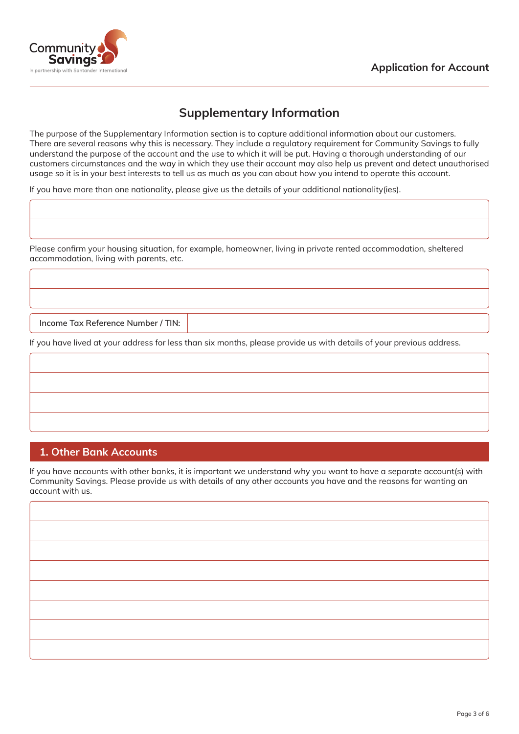



## Supplementary Information

The purpose of the Supplementary Information section is to capture additional information about our customers. There are several reasons why this is necessary. They include a regulatory requirement for Community Savings to fully understand the purpose of the account and the use to which it will be put. Having a thorough understanding of our customers circumstances and the way in which they use their account may also help us prevent and detect unauthorised usage so it is in your best interests to tell us as much as you can about how you intend to operate this account.

If you have more than one nationality, please give us the details of your additional nationality(ies).

Please confirm your housing situation, for example, homeowner, living in private rented accommodation, sheltered accommodation, living with parents, etc.

Income Tax Reference Number / TIN:

If you have lived at your address for less than six months, please provide us with details of your previous address.

## 1. Other Bank Accounts

If you have accounts with other banks, it is important we understand why you want to have a separate account(s) with Community Savings. Please provide us with details of any other accounts you have and the reasons for wanting an account with us.

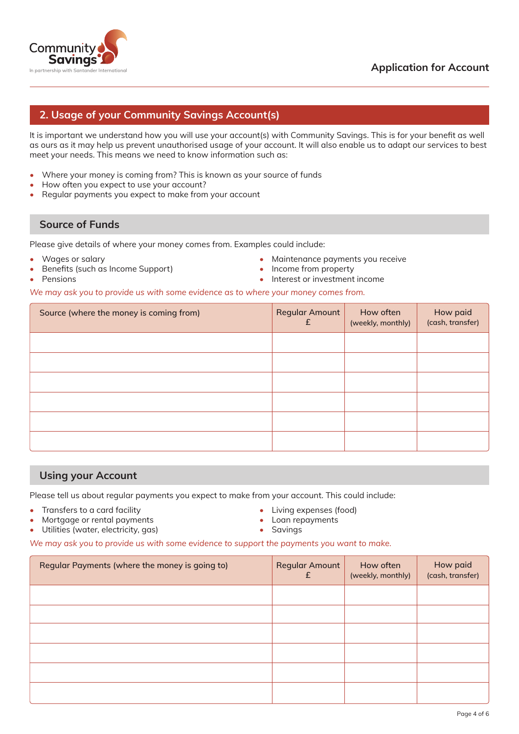

### Application for Account

### 2. Usage of your Community Savings Account(s)

It is important we understand how you will use your account(s) with Community Savings. This is for your benefit as well as ours as it may help us prevent unauthorised usage of your account. It will also enable us to adapt our services to best meet your needs. This means we need to know information such as:

- Where your money is coming from? This is known as your source of funds
- How often you expect to use your account?
- Regular payments you expect to make from your account

#### Source of Funds

Please give details of where your money comes from. Examples could include:

- Wages or salary
- Benefits (such as Income Support)
- Maintenance payments you receive
- Income from property

**Pensions** 

- Interest or investment income
- *We may ask you to provide us with some evidence as to where your money comes from.*

| Source (where the money is coming from) | <b>Regular Amount</b><br>£ | How often<br>(weekly, monthly) | How paid<br>(cash, transfer) |
|-----------------------------------------|----------------------------|--------------------------------|------------------------------|
|                                         |                            |                                |                              |
|                                         |                            |                                |                              |
|                                         |                            |                                |                              |
|                                         |                            |                                |                              |
|                                         |                            |                                |                              |
|                                         |                            |                                |                              |

#### Using your Account

Please tell us about regular payments you expect to make from your account. This could include:

- Transfers to a card facility
- Mortgage or rental payments
- Utilities (water, electricity, gas)
- Living expenses (food)
- • Loan repayments
- Savings

*We may ask you to provide us with some evidence to support the payments you want to make.*

| Regular Payments (where the money is going to) | <b>Regular Amount</b><br>£ | How often<br>(weekly, monthly) | How paid<br>(cash, transfer) |
|------------------------------------------------|----------------------------|--------------------------------|------------------------------|
|                                                |                            |                                |                              |
|                                                |                            |                                |                              |
|                                                |                            |                                |                              |
|                                                |                            |                                |                              |
|                                                |                            |                                |                              |
|                                                |                            |                                |                              |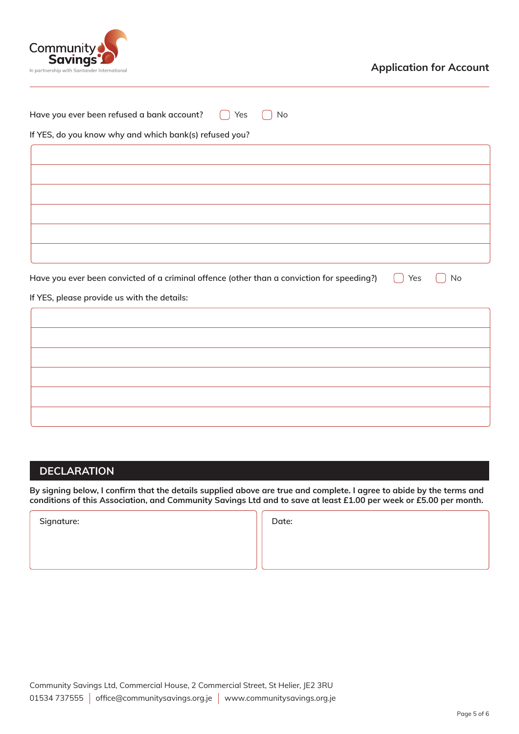

| Have you ever been refused a bank account?<br>Yes<br>No                                                 |
|---------------------------------------------------------------------------------------------------------|
| If YES, do you know why and which bank(s) refused you?                                                  |
|                                                                                                         |
|                                                                                                         |
|                                                                                                         |
|                                                                                                         |
|                                                                                                         |
|                                                                                                         |
|                                                                                                         |
| Have you ever been convicted of a criminal offence (other than a conviction for speeding?)<br>Yes<br>No |
| If YES, please provide us with the details:                                                             |
|                                                                                                         |
|                                                                                                         |
|                                                                                                         |
|                                                                                                         |
|                                                                                                         |
|                                                                                                         |

## **DECLARATION**

By signing below, I confirm that the details supplied above are true and complete. I agree to abide by the terms and conditions of this Association, and Community Savings Ltd and to save at least £1.00 per week or £5.00 per month.

Signature: and Date: a state of the state of the Date: a state of the Date: a state of the Date:  $\vert \vert$  Date: